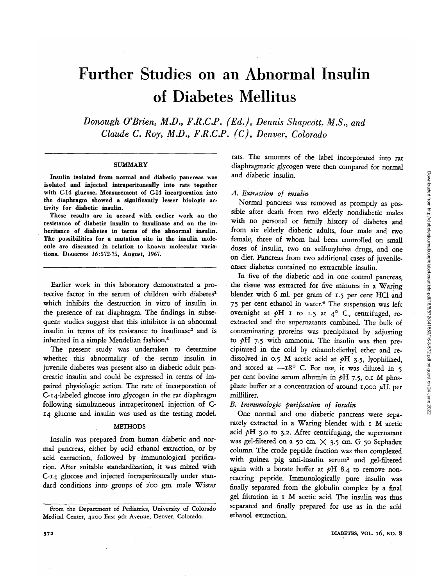# Further Studies on an Abnormal Insulin of Diabetes Mellitus

*Donough O'Brien, M.D., F.R.C.P. (Ed.), Dennis Shapcott, M.S., and Claude C. Roy, M.D., F.R.C.P. (C), Denver, Colorado*

#### SUMMARY

**Insulin isolated from normal and diabetic pancreas was isolated and injected intraperitoneally into rats together with C-14 glucose. Measurement of C-14 incorporation into the diaphragm showed a significantly lesser biologic activity for diabetic insulin.**

**These results are in accord with earlier work on the resistance of diabetic insulin to insulinase and on the inheritance of diabetes in terms of the abnormal insulin. The possibilities for a mutation site in the insulin molecule are discussed in relation to known molecular variations. DIABETES** *1***6:572-75, August, 1967.**

Earlier work in this laboratory demonstrated a protective factor in the serum of children with diabetes<sup>1</sup> which inhibits the destruction in vitro of insulin in the presence of rat diaphragm. The findings in subsequent studies suggest that this inhibitor is an abnormal insulin in terms of its resistance to insulinase<sup>2</sup> and is inherited in a simple Mendelian fashion.<sup>3</sup>

The present study was undertaken to determine whether this abnormality of the serum insulin in juvenile diabetes was present also in diabetic adult pancreatic insulin and could be expressed in terms of impaired physiologic action. The rate of incorporation of C-14-labeled glucose into glycogen in the rat diaphragm following simultaneous intraperitoneal injection of C-14 glucose and insulin was used as the testing model.

## METHODS

Insulin was prepared from human diabetic and normal pancreas, either by acid ethanol extraction, or by acid extraction, followed by immunological purification. After suitable standardization, it was mixed with C-14 glucose and injected intraperitoneally under standard conditions into groups of 200 gm. male Wistar rats. The amounts of the label incorporated into rat diaphragmatic glycogen were then compared for normal and diabetic insulin.

# *A. Extraction of insulin*

Normal pancreas was removed as promptly as possible after death from two elderly nondiabetic males with no personal or family history of diabetes and from six elderly diabetic adults, four male and two female, three of whom had been controlled on small doses of insulin, two on sulfonylufea *dtugs,* and one on diet. Pancreas from two additional cases of juvenileonset diabetes contained no extractable insulin.

In five of the diabetic and in one control pancreas, the tissue was extracted for five minutes in a Waring blender with 6 ml. per gram of 1.5 per cent HC1 and 75 per cent ethanol in water.<sup>4</sup> The suspension was left overnight at  $pH$  I to 1.5 at 4° C., centrifuged, reextracted and the supernatants combined. The bulk of contaminating proteins was precipitated by adjusting to *pH* 7.5 with ammonia. The insulin was then precipitated in the cold by ethanol: diethyl ether and redissolved in 0.5 M acetic acid at *pH* 3.5, lyophilized, and stored at  $-18^{\circ}$  C. For use, it was diluted in 5 per cent bovine serum albumin in *pH* 7.5, 0.1 M phosphate buffer at a concentration of around 1,000  $\mu$ U. per milliliter.

# *B. Immunologic purification of insulin*

One normal and one diabetic pancreas were separately extracted in a Waring blender with 1 M acetic acid  $pH$  3.0 to 3.2. After centrifuging, the supernatant was gel-filtered on a 50 cm.  $\times$  3.5 cm. G 50 Sephadex column. The crude peptide fraction was then complexed with guinea pig anti-insulin serum<sup>2</sup> and gel-filtered again with a borate buffer at *pH* 8.4 to remove nonreacting peptide. Immunologically pure insulin was finally separated from the globulin complex by a final gel filtration in 1 M acetic acid. The insulin was thus separated and finally prepared for use as in the acid ethanol extraction.

**From the Department of Pediatrics, University of Colorado Medical Center, 4200 East 9th Avenue, Denver, Colorado.**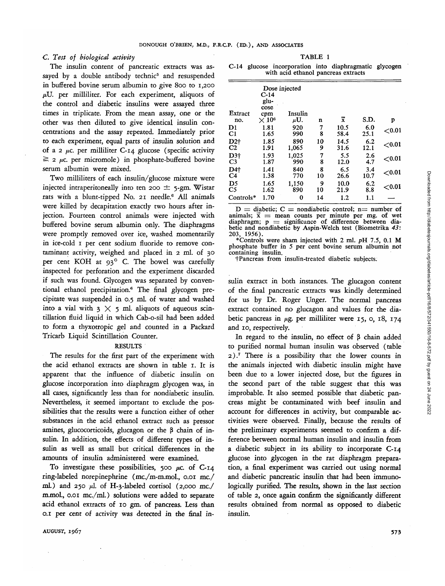# *C. Test of biological activity*

The insulin content of pancreatic extracts was assayed by a double antibody technic<sup>5</sup> and resuspended in buffered bovine serum albumin to give 800 to 1,200  $\mu$ U. per milliliter. For each experiment, aliquots of the control and diabetic insulins were assayed three times in triplicate. From the mean assay, one or the other was then diluted to give identical insulin concentrations and the assay repeated. Immediately prior to each experiment, equal parts of insulin solution and of a 2  $\mu$ c. per milliliter C-14 glucose (specific activity  $\geq$  2  $\mu$ c. per micromole) in phosphate-buffered bovine serum albumin were mixed.

Two milliliters of each insulin/glucose mixture were injected intraperitoneally into ten 200 *±* 5-gm. Wistar rats with a blunt-tipped No. 21 needle.<sup>6</sup> All animals were killed by decapitation exactly two hours after injection. Fourteen control animals were injected with buffered bovine serum albumin only. The diaphragms were promptly removed over ice, washed momentarily in ice-cold 1 per cent sodium fluoride to remove contaminant activity, weighed and placed in 2 ml. of 30 per cent KOH at 93° C. The bowel was carefully inspected for perforation and the experiment discarded if such was found. Glycogen was separated by conventional ethanol precipitation.6 The final glycogen precipitate was suspended in 0.5 ml. of water and washed into a vial with  $3 \times 5$  ml. aliquots of aqueous scintillation fluid liquid in which Cab-o-sil had been added to form a thyxotropic gel and counted in a Packard Tricarb Liquid Scintillation Counter.

#### RESULTS

The results for the first part of the experiment with the acid ethanol extracts are shown in table 1. It is apparent that the influence of diabetic insulin on glucose incorporation into diaphragm glycogen was, in all cases, significantly less than for nondiabetic insulin. Nevertheless, it seemed important to exclude the possibilities that the results were a function either of other substances in the acid ethanol extract such as pressor amines, glucocorticoids, glucagon or the  $\beta$  chain of insulin. In addition, the effects of different types of insulin as well as small but critical differences in the amounts of insulin administered were examined.

To investigate these possibilities, 500  $\mu$ c. of C-14 ring-labeled norepinephrine (mc./m-m.mol., 0.01 me./ ml.) and 250 *µ*l. of H-3-labeled cortisol (2,000 mc./ m.mol., 0.01 mc./ml.) solutions were added to separate acid ethanol extracts of 10 gm. of pancreas. Less than 0.1 per cent of activity was detected in the final in-

 $\lambda$ UGUST, 1967 573

TABLE 1

|                                     |  |  | C-14 glucose incorporation into diaphragmatic glycogen |  |
|-------------------------------------|--|--|--------------------------------------------------------|--|
| with acid ethanol pancreas extracts |  |  |                                                        |  |

|                | $C-14$<br>glu-<br>cose      | Dose injected  |    |                         |      |           |
|----------------|-----------------------------|----------------|----|-------------------------|------|-----------|
| Extract<br>no. | cpm<br>$\times\,10^{\rm 6}$ | Insulin<br>μU. | n  | $\overline{\mathbf{x}}$ | S.D. | p         |
| D1             | 1.81                        | 920            | 7  | 10.5                    | 6.0  | ${<}0.01$ |
| C <sub>1</sub> | 1.65                        | 990            | 8  | 58.4                    | 25.1 |           |
| $D2+$          | 1.85                        | 890            | 10 | 14.5                    | 6.2  | ${<}0.01$ |
| C2             | 1.91                        | 1,065          | 9  | 31.6                    | 12.1 |           |
| $D3+$          | 1.93                        | 1,025          | 7  | 5.5                     | 2.6  | $<$ 0.01  |
| C <sub>3</sub> | 1.87                        | 990            | 8  | 12.0                    | 4.7  |           |
| D4+            | 1.41                        | 840            | 8  | 6.5                     | 3.4  | ${<}0.01$ |
| C <sub>4</sub> | 1.38                        | 770            | 10 | 26.6                    | 10.7 |           |
| D5             | 1.65                        | 1.150          | 9  | 10.0                    | 6.2  | $<$ 0.01  |
| C <sub>5</sub> | 1.62                        | 890            | 10 | 21.9                    | 8.8  |           |
| Controls*      | 1.70                        | 0              | 14 | 1.2                     | 1.1  |           |

 $D =$  diabetic;  $C =$  nondiabetic control; n= number of animals;  $\vec{x}$  = mean counts per minute per mg. of wet diaphragm;  $p =$  significance of difference between dia-<br>betic and nondiabetic by Aspin-Welch test (Biometrika 43: betic and nondiabetic by Aspin-Welch test (Biometrika 43:<br>203, 1956). \*Controls were sham injected with 2 ml. pH 7.5, 0.1 M

phosphate buffer in 5 per cent bovine serum albumin not

†Pancreas from insulin-treated diabetic subjects.

sulin extract in both instances. The glucagon content of the final pancreatic extracts was kindly determined for us by Dr. Roger Unger. The normal pancreas extract contained no glucagon and values for the diabetic pancreas in  $\mu$ g. per milliliter were 15, o, 18, 174 and 10, respectively.

In regard to the insulin, no effect of  $\beta$  chain added to purified normal human insulin was observed (table 2).<sup>7</sup> There is a possibility that the lower counts in the animals injected with diabetic insulin might have been due to a lower injected dose, but the figures in the second part of the table suggest that this was improbable. It also seemed possible that diabetic pancreas might be contaminated with beef insulin and account for differences in activity, but comparable activities were observed. Finally, because the results of the preliminary experiments seemed to confirm a difference between normal human insulin and insulin from a diabetic subject in its ability to incorporate C-14 glucose into glycogen in the rat diaphragm preparation, a final experiment was carried out using normal and diabetic pancreatic insulin that had been immunologically purified. The results, shown in the last section of table 2, once again confirm the significantly different results obtained from normal as opposed to diabetic insulin.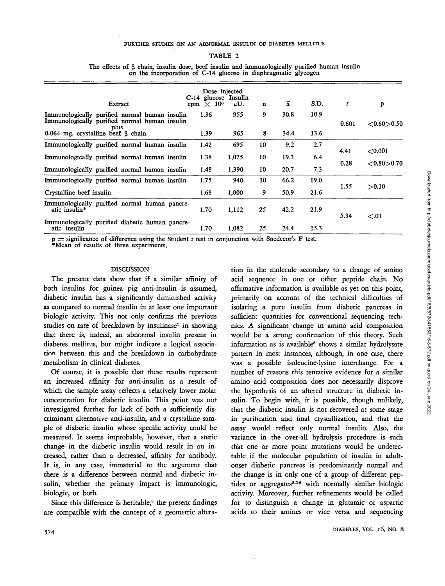# TABLE 2

| Extract                                                                                                | Dose injected<br>$C-14$ glucose<br>cpm $\times$ 10 <sup>6</sup> | Insulin<br>$\mu$ U. | $\mathbf n$ | $\bar{x}$ | S.D. | t            | p                           |
|--------------------------------------------------------------------------------------------------------|-----------------------------------------------------------------|---------------------|-------------|-----------|------|--------------|-----------------------------|
| Immunologically purified normal human insulin<br>Immunologically purified normal human insulin<br>plus | 1.36                                                            | 955                 | 9           | 30.8      | 10.9 | 0.601        | ${<}0.60{>}0.50$            |
| $0.064$ mg. crystalline beef $\beta$ chain                                                             | 1.39                                                            | 965                 | 8           | 34.4      | 13.6 |              |                             |
| Immunologically purified normal human insulin                                                          | 1.42                                                            | 695                 | 10          | 9.2       | 2.7  | 4.41<br>0.28 | < 0.001<br>${<}0.80{>}0.70$ |
| Immunologically purified normal human insulin                                                          | 1.38                                                            | 1,075               | 10          | 19.3      | 6.4  |              |                             |
| Immunologically purified normal human insulin                                                          | 1.48                                                            | 1,390               | 10          | 20.7      | 7.3  |              |                             |
| Immunologically purified normal human insulin                                                          | 1.75                                                            | 940                 | 10          | 66.2      | 19.0 | 1.55         | >0.10                       |
| Crystalline beef insulin                                                                               | 1.68                                                            | 1,000               | 9           | 50.9      | 21.6 |              |                             |
| <b>Immunologically purified normal human pancre-</b><br>atic insulin*                                  | 1.70                                                            | 1,112               | 25          | 42.2      | 21.9 | 5.34         | < 0.01                      |
| <b>Immunologically purified diabetic human pancre-</b><br>atic insulin                                 | 1.70                                                            | 1,082               | 25          | 24.4      | 15.3 |              |                             |

The effects of  $\beta$  chain, insulin dose, beef insulin and immunologically purified human insulin on the incorporation of C-14 glucose in diaphragmatic glycogen

p = significance of difference using the Student *t* test in conjunction with Snedecor's F test. \*Mean of results of three experiments.

## DISCUSSION

The present data show that if a similar affinity of both insulins for guinea pig anti-insulin is assumed, diabetic insulin has a significantly diminished activity as compared to normal insulin in at least one important biologic activity. This not only confirms the previous studies on rate of breakdown by insulinase<sup>2</sup> in showing that there is, indeed, an abnormal insulin present in diabetes mellitus, but might indicate a logical association between this and the breakdown in carbohydrate metabolism in clinical diabetes.

Of course, it is possible that these results represent an increased affinity for anti-insulin as a result of which the sample assay reflects a relatively lower molar concentration for diabetic insulin. This point was not investigated further for lack of both a sufficiently discriminant alternative anti-insulin, and a crystalline sample of diabetic insulin whose specific activity could be measured. It seems improbable, however, that a steric change in the diabetic insulin would result in an increased, rather than a decreased, affinity for antibody. It is, in any case, immaterial to the argument that there is a difference between normal and diabetic insulin, whether the primary impact is immunologic, biologic, or both.

Since this difference is heritable,<sup>3</sup> the present findings are compatible with the concept of a geometric altera-

tion in the molecule secondary to a change of amino acid sequence in one or other peptide chain. No affirmative information is available as yet on this point, primarily on account of the technical difficulties of isolating a pure insulin from diabetic pancreas in sufficient quantities for conventional sequencing technics. A significant change in amino acid composition would be a strong confirmation of this theory. Such information as is available<sup>8</sup> shows a similar hydrolysate pattern in most instances, although, in one case, there was a possible isoleucine-lysine interchange. For a number of reasons this tentative evidence for a similar amino acid composition does not necessarily disprove the hypothesis of an altered structure in diabetic insulin. To begin with, *it* is possible, though unlikely, that the diabetic insulin is not recovered at some stage in purification and final crystallization, and that the assay would reflect only normal insulin. Also, the variance in the over-all hydrolysis procedure *is* such that one or more point mutations would be undetectable if the molecular population of insulin in adultonset diabetic pancreas is predominantly normal and the change is in only one of a group of different peptides or aggregates<sup>9,10</sup> with normally similar biologic activity. Moreover, further refinements would be called for to distinguish a change in glutamic or aspartic acids to their amines or vice versa and sequencing